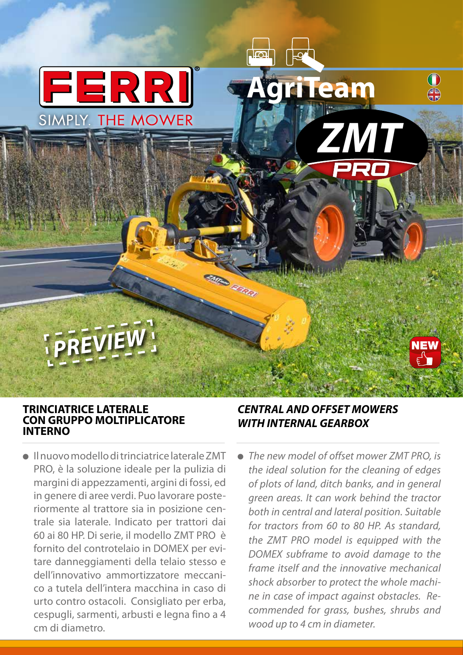

### **TRINCIATRICE LATERALE CON GRUPPO MOLTIPLICATORE INTERNO**

● Il nuovo modello di trinciatrice laterale ZMT PRO, è la soluzione ideale per la pulizia di margini di appezzamenti, argini di fossi, ed in genere di aree verdi. Puo lavorare posteriormente al trattore sia in posizione centrale sia laterale. Indicato per trattori dai 60 ai 80 HP. Di serie, il modello ZMT PRO è fornito del controtelaio in DOMEX per evitare danneggiamenti della telaio stesso e dell'innovativo ammortizzatore meccanico a tutela dell'intera macchina in caso di urto contro ostacoli. Consigliato per erba, cespugli, sarmenti, arbusti e legna fino a 4 cm di diametro.

## *CENTRAL AND OFFSET MOWERS WITH INTERNAL GEARBOX*

Misso E. Editor

**AgriTeam**

*ZMT*

 $\bigcap$ 

**NEW** 

● *The new model of offset mower ZMT PRO, is the ideal solution for the cleaning of edges of plots of land, ditch banks, and in general green areas. It can work behind the tractor both in central and lateral position. Suitable for tractors from 60 to 80 HP. As standard, the ZMT PRO model is equipped with the DOMEX subframe to avoid damage to the frame itself and the innovative mechanical shock absorber to protect the whole machine in case of impact against obstacles. Recommended for grass, bushes, shrubs and wood up to 4 cm in diameter.*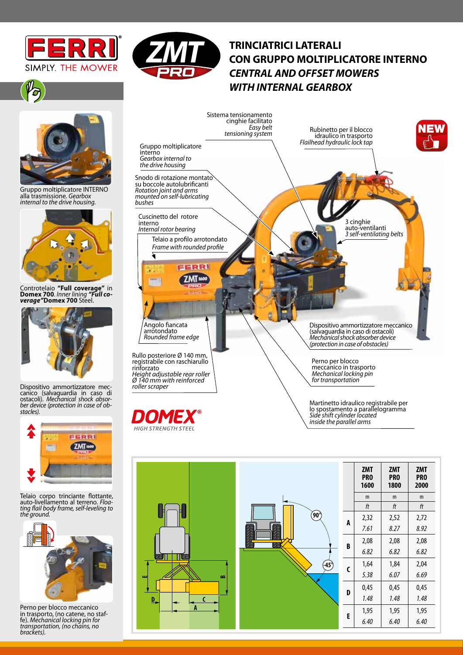



# **TRINCIATRICI LATERALI CON GRUPPO MOLTIPLICATORE INTERNO** *CENTRAL AND OFFSET MOWERS WITH INTERNAL GEARBOX*



Gruppo moltiplicatore INTERNO alla trasmissione. *Gearbox internal to the drive housing.* 



Controtelaio **"Full coverage"** in **Domex 700**. *Inner lining "Full co- verage"***Domex 700** Steel.



Dispositivo ammortizzatore mec-<br>canico (salvaguardia in caso di ostacoli). *Mechanical shock absor- ber device (protection in case of ob- stacles).*



Telaio corpo trinciante flottante,<br>auto-livellamento al terreno. Floaauto-livellamento al terreno. *Floa- ting flail body frame, self-leveling to the ground.*



Perno per blocco meccanico<br>in trasporto, (no catene, no stafin trasporto, (no catene, no staf- fe). *Mechanical locking pin for transportation, (no chains, no brackets).*



DOM HIGH STRENGTH STEEL Martinetto idraulico registrabile per lo spostamento a parallelogramma *Side shift cylinder located inside the parallel arms*

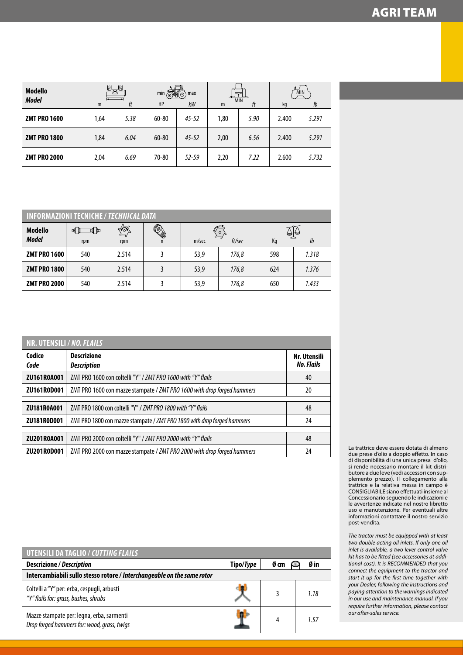| <b>Modello</b><br><b>Model</b> | 園<br>m | 阆<br>ft | min<br>ි<br>HP | max<br>$\odot$<br>kW | m    | <b>MIN</b><br>ft | kg    | <b>MIN</b><br>lb |
|--------------------------------|--------|---------|----------------|----------------------|------|------------------|-------|------------------|
| <b>ZMT PRO 1600</b>            | 1,64   | 5.38    | 60-80          | $45 - 52$            | 1,80 | 5.90             | 2.400 | 5.291            |
| <b>ZMT PRO 1800</b>            | 1,84   | 6.04    | 60-80          | $45 - 52$            | 2,00 | 6.56             | 2.400 | 5.291            |
| <b>ZMT PRO 2000</b>            | 2,04   | 6.69    | 70-80          | $52 - 59$            | 2,20 | 7.22             | 2.600 | 5.732            |

| <b>INFORMAZIONI TECNICHE / TECHNICAL DATA</b> |                  |                              |                          |                      |       |                  |       |
|-----------------------------------------------|------------------|------------------------------|--------------------------|----------------------|-------|------------------|-------|
| <b>Modello</b><br><b>Model</b>                | ⊪™<br>∎  <br>rpm | $\mathcal{M}^{\circ}$<br>rpm | <b>Q</b><br>$\mathsf{n}$ | Ω<br>ft/sec<br>m/sec |       | မျှမ<br>Kg<br>lb |       |
| <b>ZMT PRO 1600</b>                           | 540              | 2.514                        |                          | 53,9                 | 176,8 | 598              | 1.318 |
| <b>ZMT PRO 1800</b>                           | 540              | 2.514                        |                          | 53,9                 | 176,8 | 624              | 1.376 |
| <b>ZMT PRO 2000</b>                           | 540              | 2.514                        |                          | 53,9                 | 176,8 | 650              | 1.433 |

| NR. UTENSILI / NO. FLAILS |                                                                         |                                   |  |  |  |
|---------------------------|-------------------------------------------------------------------------|-----------------------------------|--|--|--|
| Codice<br>Code            | <b>Descrizione</b><br><b>Description</b>                                | Nr. Utensili<br><b>No. Flails</b> |  |  |  |
| ZU161R0A001               | ZMT PRO 1600 con coltelli "Y" / ZMT PRO 1600 with "Y" flails            | 40                                |  |  |  |
| ZU161R0D001               | ZMT PRO 1600 con mazze stampate / ZMT PRO 1600 with drop forged hammers | 20                                |  |  |  |
|                           |                                                                         |                                   |  |  |  |
| ZU181R0A001               | ZMT PRO 1800 con coltelli "Y" / ZMT PRO 1800 with "Y" flails            | 48                                |  |  |  |
| ZU181R0D001               | ZMT PRO 1800 con mazze stampate / ZMT PRO 1800 with drop forged hammers | 24                                |  |  |  |
|                           |                                                                         |                                   |  |  |  |
| ZU201R0A001               | ZMT PRO 2000 con coltelli "Y" / ZMT PRO 2000 with "Y" flails            | 48                                |  |  |  |
| ZU201R0D001               | ZMT PRO 2000 con mazze stampate / ZMT PRO 2000 with drop forged hammers | 24                                |  |  |  |

| UTENSILI DA TAGLIO / CUTTING FLAILS                                                      |           |      |      |  |  |
|------------------------------------------------------------------------------------------|-----------|------|------|--|--|
| <b>Descrizione / Description</b>                                                         | Tipo/Type | Ø cm | Ø in |  |  |
| Intercambiabili sullo stesso rotore / Interchangeable on the same rotor                  |           |      |      |  |  |
| Coltelli a "Y" per: erba, cespugli, arbusti<br>"Y" flails for: grass, bushes, shrubs     |           |      | 1.18 |  |  |
| Mazze stampate per: legna, erba, sarmenti<br>Drop forged hammers for: wood, grass, twigs |           | 4    | 157  |  |  |

La trattrice deve essere dotata di almeno due prese d'olio a doppio effetto. In caso di disponibilità di una unica presa d'olio, si rende necessario montare il kit distributore a due leve (vedi accessori con supplemento prezzo). Il collegamento alla trattrice e la relativa messa in campo è CONSIGLIABILE siano effettuati insieme al Concessionario seguendo le indicazioni e le avvertenze indicate nel nostro libretto uso e manutenzione. Per eventuali altre informazioni contattare il nostro servizio post-vendita.

*The tractor must be equipped with at least two double acting oil inlets. If only one oil inlet is available, a two lever control valve kit has to be fitted (see accessories at additional cost). It is RECOMMENDED that you connect the equipment to the tractor and start it up for the first time together with your Dealer, following the instructions and paying attention to the warnings indicated in our use and maintenance manual. If you require further information, please contact our after-sales service.*